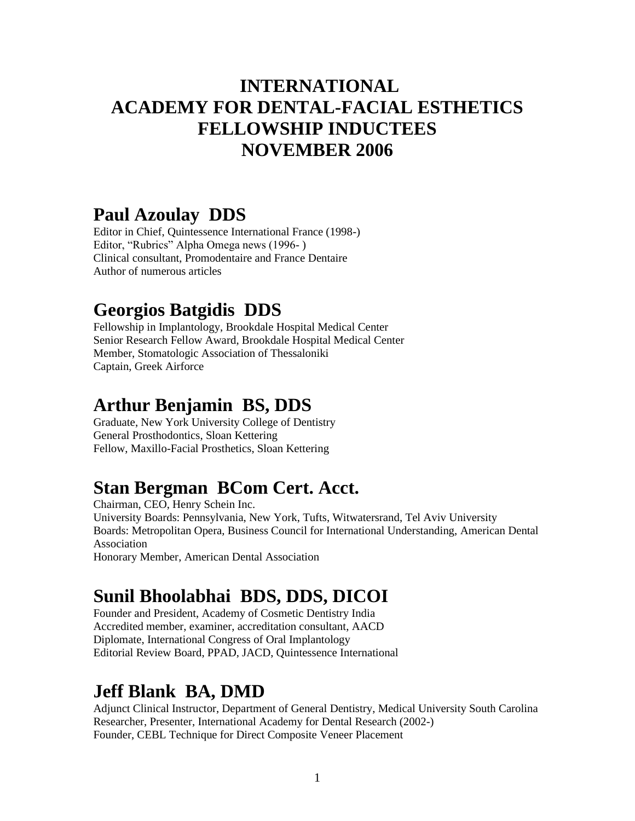#### **INTERNATIONAL ACADEMY FOR DENTAL-FACIAL ESTHETICS FELLOWSHIP INDUCTEES NOVEMBER 2006**

#### **Paul Azoulay DDS**

Editor in Chief, Quintessence International France (1998-) Editor, "Rubrics" Alpha Omega news (1996- ) Clinical consultant, Promodentaire and France Dentaire Author of numerous articles

#### **Georgios Batgidis DDS**

Fellowship in Implantology, Brookdale Hospital Medical Center Senior Research Fellow Award, Brookdale Hospital Medical Center Member, Stomatologic Association of Thessaloniki Captain, Greek Airforce

#### **Arthur Benjamin BS, DDS**

Graduate, New York University College of Dentistry General Prosthodontics, Sloan Kettering Fellow, Maxillo-Facial Prosthetics, Sloan Kettering

### **Stan Bergman BCom Cert. Acct.**

Chairman, CEO, Henry Schein Inc. University Boards: Pennsylvania, New York, Tufts, Witwatersrand, Tel Aviv University Boards: Metropolitan Opera, Business Council for International Understanding, American Dental Association Honorary Member, American Dental Association

# **Sunil Bhoolabhai BDS, DDS, DICOI**

Founder and President, Academy of Cosmetic Dentistry India Accredited member, examiner, accreditation consultant, AACD Diplomate, International Congress of Oral Implantology Editorial Review Board, PPAD, JACD, Quintessence International

#### **Jeff Blank BA, DMD**

Adjunct Clinical Instructor, Department of General Dentistry, Medical University South Carolina Researcher, Presenter, International Academy for Dental Research (2002-) Founder, CEBL Technique for Direct Composite Veneer Placement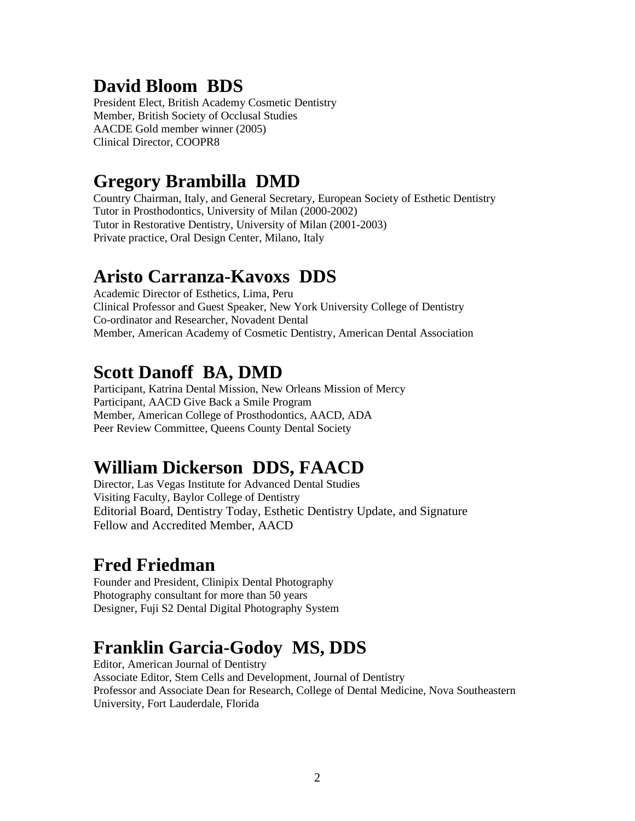## **David Bloom BDS**

President Elect, British Academy Cosmetic Dentistry Member, British Society of Occlusal Studies AACDE Gold member winner (2005) Clinical Director, COOPR8

#### **Gregory Brambilla DMD**

Country Chairman, Italy, and General Secretary, European Society of Esthetic Dentistry Tutor in Prosthodontics, University of Milan (2000-2002) Tutor in Restorative Dentistry, University of Milan (2001-2003) Private practice, Oral Design Center, Milano, Italy

#### **Aristo Carranza-Kavoxs DDS**

Academic Director of Esthetics, Lima, Peru Clinical Professor and Guest Speaker, New York University College of Dentistry Co-ordinator and Researcher, Novadent Dental Member, American Academy of Cosmetic Dentistry, American Dental Association

# **Scott Danoff BA, DMD**

Participant, Katrina Dental Mission, New Orleans Mission of Mercy Participant, AACD Give Back a Smile Program Member, American College of Prosthodontics, AACD, ADA Peer Review Committee, Queens County Dental Society

# **William Dickerson DDS, FAACD**

Director, Las Vegas Institute for Advanced Dental Studies Visiting Faculty, Baylor College of Dentistry Editorial Board, Dentistry Today, Esthetic Dentistry Update, and Signature Fellow and Accredited Member, AACD

### **Fred Friedman**

Founder and President, Clinipix Dental Photography Photography consultant for more than 50 years Designer, Fuji S2 Dental Digital Photography System

# **Franklin Garcia-Godoy MS, DDS**

Editor, American Journal of Dentistry Associate Editor, Stem Cells and Development, Journal of Dentistry Professor and Associate Dean for Research, College of Dental Medicine, Nova Southeastern University, Fort Lauderdale, Florida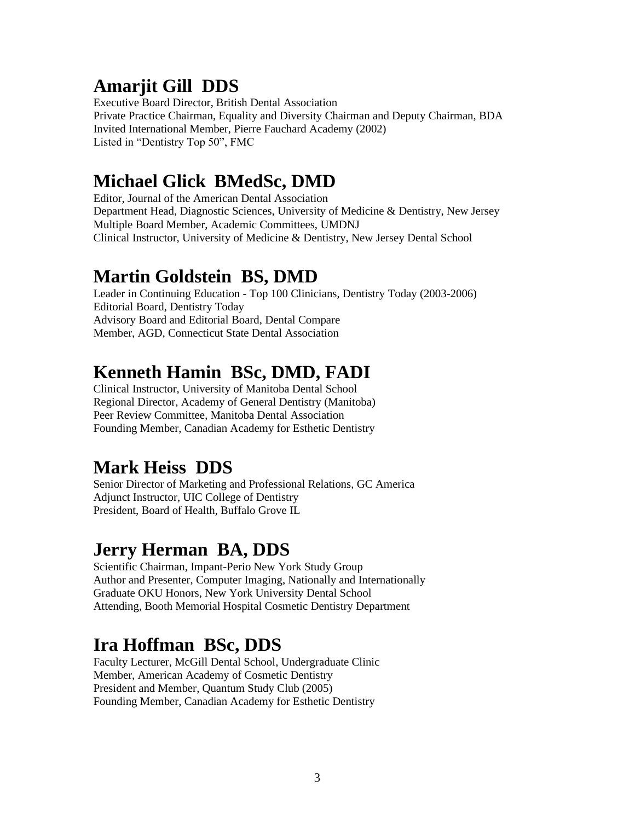### **Amarjit Gill DDS**

Executive Board Director, British Dental Association Private Practice Chairman, Equality and Diversity Chairman and Deputy Chairman, BDA Invited International Member, Pierre Fauchard Academy (2002) Listed in "Dentistry Top 50", FMC

### **Michael Glick BMedSc, DMD**

Editor, Journal of the American Dental Association Department Head, Diagnostic Sciences, University of Medicine & Dentistry, New Jersey Multiple Board Member, Academic Committees, UMDNJ Clinical Instructor, University of Medicine & Dentistry, New Jersey Dental School

#### **Martin Goldstein BS, DMD**

Leader in Continuing Education - Top 100 Clinicians, Dentistry Today (2003-2006) Editorial Board, Dentistry Today Advisory Board and Editorial Board, Dental Compare Member, AGD, Connecticut State Dental Association

# **Kenneth Hamin BSc, DMD, FADI**

Clinical Instructor, University of Manitoba Dental School Regional Director, Academy of General Dentistry (Manitoba) Peer Review Committee, Manitoba Dental Association Founding Member, Canadian Academy for Esthetic Dentistry

# **Mark Heiss DDS**

Senior Director of Marketing and Professional Relations, GC America Adjunct Instructor, UIC College of Dentistry President, Board of Health, Buffalo Grove IL

# **Jerry Herman BA, DDS**

Scientific Chairman, Impant-Perio New York Study Group Author and Presenter, Computer Imaging, Nationally and Internationally Graduate OKU Honors, New York University Dental School Attending, Booth Memorial Hospital Cosmetic Dentistry Department

# **Ira Hoffman BSc, DDS**

Faculty Lecturer, McGill Dental School, Undergraduate Clinic Member, American Academy of Cosmetic Dentistry President and Member, Quantum Study Club (2005) Founding Member, Canadian Academy for Esthetic Dentistry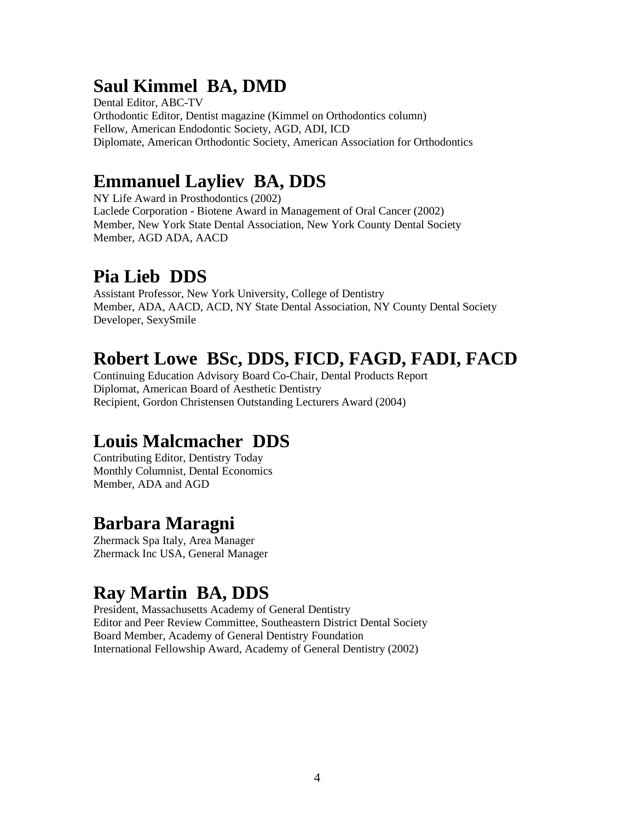## **Saul Kimmel BA, DMD**

Dental Editor, ABC-TV Orthodontic Editor, Dentist magazine (Kimmel on Orthodontics column) Fellow, American Endodontic Society, AGD, ADI, ICD Diplomate, American Orthodontic Society, American Association for Orthodontics

### **Emmanuel Layliev BA, DDS**

NY Life Award in Prosthodontics (2002) Laclede Corporation - Biotene Award in Management of Oral Cancer (2002) Member, New York State Dental Association, New York County Dental Society Member, AGD ADA, AACD

## **Pia Lieb DDS**

Assistant Professor, New York University, College of Dentistry Member, ADA, AACD, ACD, NY State Dental Association, NY County Dental Society Developer, SexySmile

## **Robert Lowe BSc, DDS, FICD, FAGD, FADI, FACD**

Continuing Education Advisory Board Co-Chair, Dental Products Report Diplomat, American Board of Aesthetic Dentistry Recipient, Gordon Christensen Outstanding Lecturers Award (2004)

# **Louis Malcmacher DDS**

Contributing Editor, Dentistry Today Monthly Columnist, Dental Economics Member, ADA and AGD

### **Barbara Maragni**

Zhermack Spa Italy, Area Manager Zhermack Inc USA, General Manager

### **Ray Martin BA, DDS**

President, Massachusetts Academy of General Dentistry Editor and Peer Review Committee, Southeastern District Dental Society Board Member, Academy of General Dentistry Foundation International Fellowship Award, Academy of General Dentistry (2002)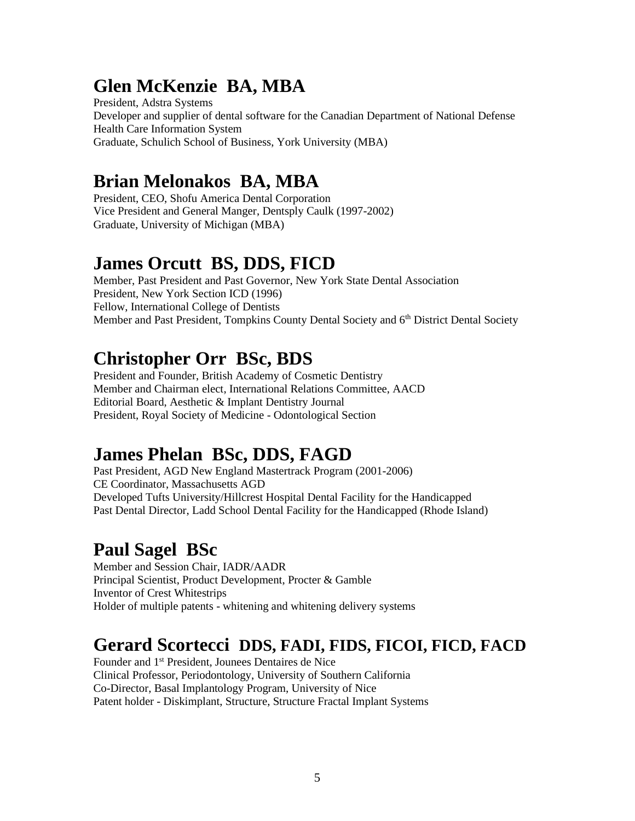### **Glen McKenzie BA, MBA**

President, Adstra Systems Developer and supplier of dental software for the Canadian Department of National Defense Health Care Information System Graduate, Schulich School of Business, York University (MBA)

#### **Brian Melonakos BA, MBA**

President, CEO, Shofu America Dental Corporation Vice President and General Manger, Dentsply Caulk (1997-2002) Graduate, University of Michigan (MBA)

#### **James Orcutt BS, DDS, FICD**

Member, Past President and Past Governor, New York State Dental Association President, New York Section ICD (1996) Fellow, International College of Dentists Member and Past President, Tompkins County Dental Society and 6<sup>th</sup> District Dental Society

## **Christopher Orr BSc, BDS**

President and Founder, British Academy of Cosmetic Dentistry Member and Chairman elect, International Relations Committee, AACD Editorial Board, Aesthetic & Implant Dentistry Journal President, Royal Society of Medicine - Odontological Section

### **James Phelan BSc, DDS, FAGD**

Past President, AGD New England Mastertrack Program (2001-2006) CE Coordinator, Massachusetts AGD Developed Tufts University/Hillcrest Hospital Dental Facility for the Handicapped Past Dental Director, Ladd School Dental Facility for the Handicapped (Rhode Island)

# **Paul Sagel BSc**

Member and Session Chair, IADR/AADR Principal Scientist, Product Development, Procter & Gamble Inventor of Crest Whitestrips Holder of multiple patents - whitening and whitening delivery systems

#### **Gerard Scortecci DDS, FADI, FIDS, FICOI, FICD, FACD**

Founder and 1st President, Jounees Dentaires de Nice Clinical Professor, Periodontology, University of Southern California Co-Director, Basal Implantology Program, University of Nice Patent holder - Diskimplant, Structure, Structure Fractal Implant Systems